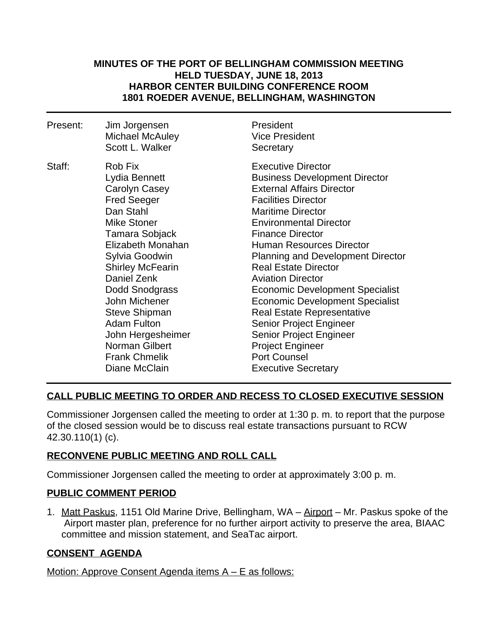### **MINUTES OF THE PORT OF BELLINGHAM COMMISSION MEETING HELD TUESDAY, JUNE 18, 2013 HARBOR CENTER BUILDING CONFERENCE ROOM 1801 ROEDER AVENUE, BELLINGHAM, WASHINGTON**

| Present: | Jim Jorgensen<br><b>Michael McAuley</b><br>Scott L. Walker                                                                                                                                                                                                                                                                                                             | President<br><b>Vice President</b><br>Secretary                                                                                                                                                                                                                                                                                                                                                                                                                                                                                                                                                                                      |
|----------|------------------------------------------------------------------------------------------------------------------------------------------------------------------------------------------------------------------------------------------------------------------------------------------------------------------------------------------------------------------------|--------------------------------------------------------------------------------------------------------------------------------------------------------------------------------------------------------------------------------------------------------------------------------------------------------------------------------------------------------------------------------------------------------------------------------------------------------------------------------------------------------------------------------------------------------------------------------------------------------------------------------------|
| Staff:   | Rob Fix<br>Lydia Bennett<br>Carolyn Casey<br><b>Fred Seeger</b><br>Dan Stahl<br><b>Mike Stoner</b><br>Tamara Sobjack<br>Elizabeth Monahan<br>Sylvia Goodwin<br><b>Shirley McFearin</b><br>Daniel Zenk<br>Dodd Snodgrass<br>John Michener<br><b>Steve Shipman</b><br><b>Adam Fulton</b><br>John Hergesheimer<br>Norman Gilbert<br><b>Frank Chmelik</b><br>Diane McClain | <b>Executive Director</b><br><b>Business Development Director</b><br><b>External Affairs Director</b><br><b>Facilities Director</b><br><b>Maritime Director</b><br><b>Environmental Director</b><br><b>Finance Director</b><br><b>Human Resources Director</b><br><b>Planning and Development Director</b><br><b>Real Estate Director</b><br><b>Aviation Director</b><br>Economic Development Specialist<br>Economic Development Specialist<br><b>Real Estate Representative</b><br><b>Senior Project Engineer</b><br><b>Senior Project Engineer</b><br><b>Project Engineer</b><br><b>Port Counsel</b><br><b>Executive Secretary</b> |

# **CALL PUBLIC MEETING TO ORDER AND RECESS TO CLOSED EXECUTIVE SESSION**

Commissioner Jorgensen called the meeting to order at 1:30 p. m. to report that the purpose of the closed session would be to discuss real estate transactions pursuant to RCW 42.30.110(1) (c).

# **RECONVENE PUBLIC MEETING AND ROLL CALL**

Commissioner Jorgensen called the meeting to order at approximately 3:00 p. m.

### **PUBLIC COMMENT PERIOD**

1. Matt Paskus, 1151 Old Marine Drive, Bellingham, WA – Airport – Mr. Paskus spoke of the Airport master plan, preference for no further airport activity to preserve the area, BIAAC committee and mission statement, and SeaTac airport.

### **CONSENT AGENDA**

Motion: Approve Consent Agenda items A – E as follows: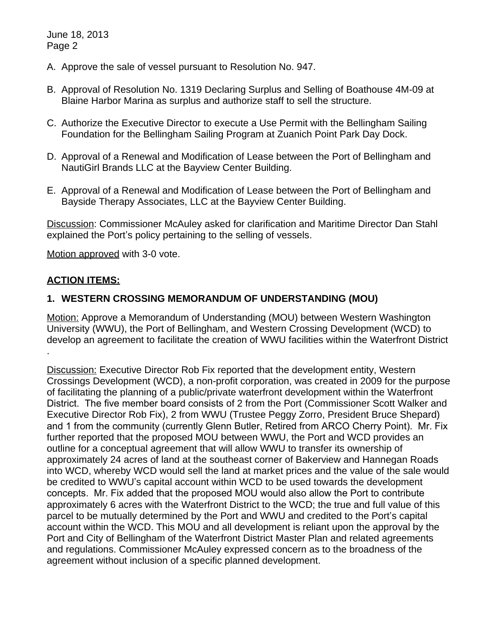June 18, 2013 Page 2

- A. Approve the sale of vessel pursuant to Resolution No. 947.
- B. Approval of Resolution No. 1319 Declaring Surplus and Selling of Boathouse 4M-09 at Blaine Harbor Marina as surplus and authorize staff to sell the structure.
- C. Authorize the Executive Director to execute a Use Permit with the Bellingham Sailing Foundation for the Bellingham Sailing Program at Zuanich Point Park Day Dock.
- D. Approval of a Renewal and Modification of Lease between the Port of Bellingham and NautiGirl Brands LLC at the Bayview Center Building.
- E. Approval of a Renewal and Modification of Lease between the Port of Bellingham and Bayside Therapy Associates, LLC at the Bayview Center Building.

Discussion: Commissioner McAuley asked for clarification and Maritime Director Dan Stahl explained the Port's policy pertaining to the selling of vessels.

Motion approved with 3-0 vote.

## **ACTION ITEMS:**

## **1. WESTERN CROSSING MEMORANDUM OF UNDERSTANDING (MOU)**

Motion: Approve a Memorandum of Understanding (MOU) between Western Washington University (WWU), the Port of Bellingham, and Western Crossing Development (WCD) to develop an agreement to facilitate the creation of WWU facilities within the Waterfront District .

Discussion: Executive Director Rob Fix reported that the development entity, Western Crossings Development (WCD), a non-profit corporation, was created in 2009 for the purpose of facilitating the planning of a public/private waterfront development within the Waterfront District. The five member board consists of 2 from the Port (Commissioner Scott Walker and Executive Director Rob Fix), 2 from WWU (Trustee Peggy Zorro, President Bruce Shepard) and 1 from the community (currently Glenn Butler, Retired from ARCO Cherry Point). Mr. Fix further reported that the proposed MOU between WWU, the Port and WCD provides an outline for a conceptual agreement that will allow WWU to transfer its ownership of approximately 24 acres of land at the southeast corner of Bakerview and Hannegan Roads into WCD, whereby WCD would sell the land at market prices and the value of the sale would be credited to WWU's capital account within WCD to be used towards the development concepts. Mr. Fix added that the proposed MOU would also allow the Port to contribute approximately 6 acres with the Waterfront District to the WCD; the true and full value of this parcel to be mutually determined by the Port and WWU and credited to the Port's capital account within the WCD. This MOU and all development is reliant upon the approval by the Port and City of Bellingham of the Waterfront District Master Plan and related agreements and regulations. Commissioner McAuley expressed concern as to the broadness of the agreement without inclusion of a specific planned development.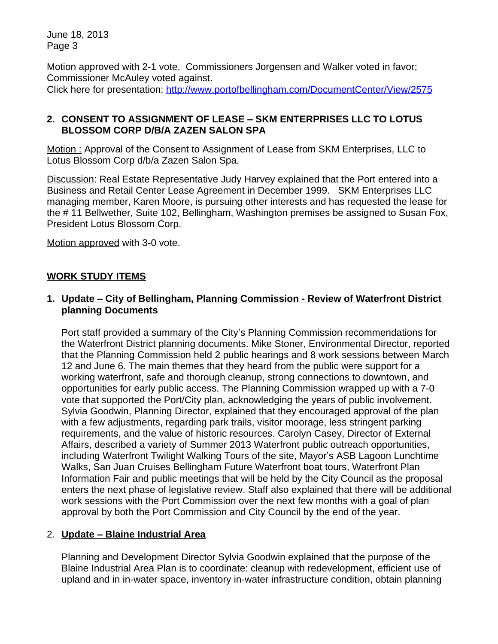June 18, 2013 Page 3

Motion approved with 2-1 vote. Commissioners Jorgensen and Walker voted in favor; Commissioner McAuley voted against. Click here for presentation: <http://www.portofbellingham.com/DocumentCenter/View/2575>

## **2. CONSENT TO ASSIGNMENT OF LEASE – SKM ENTERPRISES LLC TO LOTUS BLOSSOM CORP D/B/A ZAZEN SALON SPA**

Motion : Approval of the Consent to Assignment of Lease from SKM Enterprises, LLC to Lotus Blossom Corp d/b/a Zazen Salon Spa.

Discussion: Real Estate Representative Judy Harvey explained that the Port entered into a Business and Retail Center Lease Agreement in December 1999. SKM Enterprises LLC managing member, Karen Moore, is pursuing other interests and has requested the lease for the # 11 Bellwether, Suite 102, Bellingham, Washington premises be assigned to Susan Fox, President Lotus Blossom Corp.

Motion approved with 3-0 vote.

### **WORK STUDY ITEMS**

### **1. Update – City of Bellingham, Planning Commission - Review of Waterfront District planning Documents**

Port staff provided a summary of the City's Planning Commission recommendations for the Waterfront District planning documents. Mike Stoner, Environmental Director, reported that the Planning Commission held 2 public hearings and 8 work sessions between March 12 and June 6. The main themes that they heard from the public were support for a working waterfront, safe and thorough cleanup, strong connections to downtown, and opportunities for early public access. The Planning Commission wrapped up with a 7-0 vote that supported the Port/City plan, acknowledging the years of public involvement. Sylvia Goodwin, Planning Director, explained that they encouraged approval of the plan with a few adjustments, regarding park trails, visitor moorage, less stringent parking requirements, and the value of historic resources. Carolyn Casey, Director of External Affairs, described a variety of Summer 2013 Waterfront public outreach opportunities, including Waterfront Twilight Walking Tours of the site, Mayor's ASB Lagoon Lunchtime Walks, San Juan Cruises Bellingham Future Waterfront boat tours, Waterfront Plan Information Fair and public meetings that will be held by the City Council as the proposal enters the next phase of legislative review. Staff also explained that there will be additional work sessions with the Port Commission over the next few months with a goal of plan approval by both the Port Commission and City Council by the end of the year.

### 2. **Update – Blaine Industrial Area**

Planning and Development Director Sylvia Goodwin explained that the purpose of the Blaine Industrial Area Plan is to coordinate: cleanup with redevelopment, efficient use of upland and in in-water space, inventory in-water infrastructure condition, obtain planning